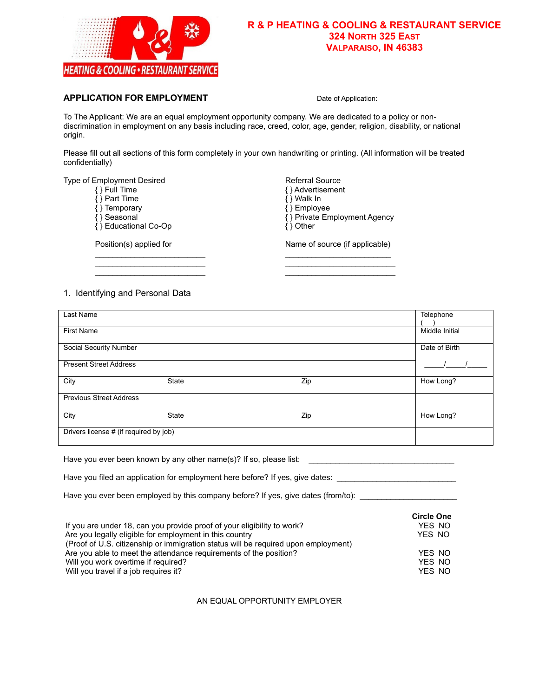

#### **R & P HEATING & COOLING & RESTAURANT SERVICE 324 NORTH 325 EAST VALPARAISO, IN 46383**

#### **APPLICATION FOR EMPLOYMENT** Date of Application:

To The Applicant: We are an equal employment opportunity company. We are dedicated to a policy or nondiscrimination in employment on any basis including race, creed, color, age, gender, religion, disability, or national origin.

Please fill out all sections of this form completely in your own handwriting or printing. (All information will be treated confidentially)

\_\_\_\_\_\_\_\_\_\_\_\_\_\_\_\_\_\_\_\_\_\_\_\_\_ \_\_\_\_\_\_\_\_\_\_\_\_\_\_\_\_\_\_\_\_\_\_\_\_ \_\_\_\_\_\_\_\_\_\_\_\_\_\_\_\_\_\_\_\_\_\_\_\_\_ \_\_\_\_\_\_\_\_\_\_\_\_\_\_\_\_\_\_\_\_\_\_\_\_\_ \_\_\_\_\_\_\_\_\_\_\_\_\_\_\_\_\_\_\_\_\_\_\_\_\_ \_\_\_\_\_\_\_\_\_\_\_\_\_\_\_\_\_\_\_\_\_\_\_\_\_

Type of Employment Desired **Referral Source** Referral Source

- 
- 
- $\{ \}$  Temporary<br> $\{ \}$  Seasonal
- { } Educational Co-Op

- { } Advertisement<br>{ } Walk In  $\{\}$  Full Time  $\{\}$  Part Time  $\{\}$  Walk In  $\{\}$  Temporary  $\{\}$  Temporary  $\{\}$  Employee
	- $\{\}$  Private Employment Agency<br> $\{\}$  Other
	-

Position(s) applied for Name of source (if applicable)

# 1. Identifying and Personal Data

| Last Name                              |              |     | Telephone      |
|----------------------------------------|--------------|-----|----------------|
|                                        |              |     |                |
| <b>First Name</b>                      |              |     | Middle Initial |
|                                        |              |     |                |
| Social Security Number                 |              |     | Date of Birth  |
|                                        |              |     |                |
| <b>Present Street Address</b>          |              |     |                |
|                                        |              |     |                |
| City                                   | <b>State</b> | Zip | How Long?      |
|                                        |              |     |                |
| <b>Previous Street Address</b>         |              |     |                |
|                                        |              |     |                |
| City                                   | <b>State</b> | Zip | How Long?      |
|                                        |              |     |                |
| Drivers license # (if required by job) |              |     |                |
|                                        |              |     |                |

Have you ever been known by any other name(s)? If so, please list: \_\_\_\_\_\_\_\_\_\_\_\_\_\_

Have you filed an application for employment here before? If yes, give dates: \_\_\_\_\_\_\_\_\_\_\_\_\_\_\_\_\_\_\_\_\_\_\_\_\_\_\_\_\_\_\_\_

Have you ever been employed by this company before? If yes, give dates (from/to):

|                                                                                    | <b>Circle One</b> |
|------------------------------------------------------------------------------------|-------------------|
| If you are under 18, can you provide proof of your eligibility to work?            | YES NO            |
| Are you legally eligible for employment in this country                            | YES NO            |
| (Proof of U.S. citizenship or immigration status will be required upon employment) |                   |
| Are you able to meet the attendance requirements of the position?                  | YES NO            |
| Will you work overtime if required?                                                | YES NO            |
| Will you travel if a job requires it?                                              | YES NO            |

AN EQUAL OPPORTUNITY EMPLOYER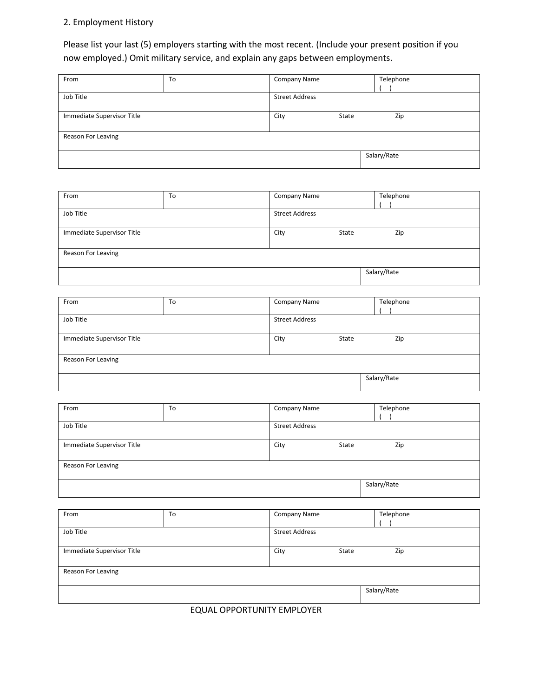# 2. Employment History

Please list your last (5) employers starting with the most recent. (Include your present position if you now employed.) Omit military service, and explain any gaps between employments.

| From                       | To | Company Name          |       | Telephone   |
|----------------------------|----|-----------------------|-------|-------------|
|                            |    |                       |       |             |
| Job Title                  |    | <b>Street Address</b> |       |             |
|                            |    |                       |       |             |
| Immediate Supervisor Title |    | City                  | State | Zip         |
|                            |    |                       |       |             |
| Reason For Leaving         |    |                       |       |             |
|                            |    |                       |       |             |
|                            |    |                       |       | Salary/Rate |
|                            |    |                       |       |             |

| From                       | To | <b>Company Name</b>   |       | Telephone   |
|----------------------------|----|-----------------------|-------|-------------|
|                            |    |                       |       |             |
| Job Title                  |    | <b>Street Address</b> |       |             |
|                            |    |                       |       |             |
| Immediate Supervisor Title |    | City                  | State | Zip         |
|                            |    |                       |       |             |
| Reason For Leaving         |    |                       |       |             |
|                            |    |                       |       |             |
|                            |    |                       |       | Salary/Rate |
|                            |    |                       |       |             |

| From                       | To | Company Name          |             | Telephone |
|----------------------------|----|-----------------------|-------------|-----------|
|                            |    |                       |             |           |
| Job Title                  |    | <b>Street Address</b> |             |           |
|                            |    |                       |             |           |
| Immediate Supervisor Title |    | State<br>City         |             | Zip       |
|                            |    |                       |             |           |
| Reason For Leaving         |    |                       |             |           |
|                            |    |                       |             |           |
|                            |    |                       | Salary/Rate |           |
|                            |    |                       |             |           |

| From                       | To | <b>Company Name</b>   | Telephone   |
|----------------------------|----|-----------------------|-------------|
| Job Title                  |    | <b>Street Address</b> |             |
| Immediate Supervisor Title |    | State<br>City         | Zip         |
| Reason For Leaving         |    |                       |             |
|                            |    |                       | Salary/Rate |

| From                       | To | Company Name          | Telephone   |
|----------------------------|----|-----------------------|-------------|
| Job Title                  |    | <b>Street Address</b> |             |
| Immediate Supervisor Title |    | State<br>City         | Zip         |
| Reason For Leaving         |    |                       |             |
|                            |    |                       |             |
|                            |    |                       | Salary/Rate |
|                            |    |                       |             |

EQUAL OPPORTUNITY EMPLOYER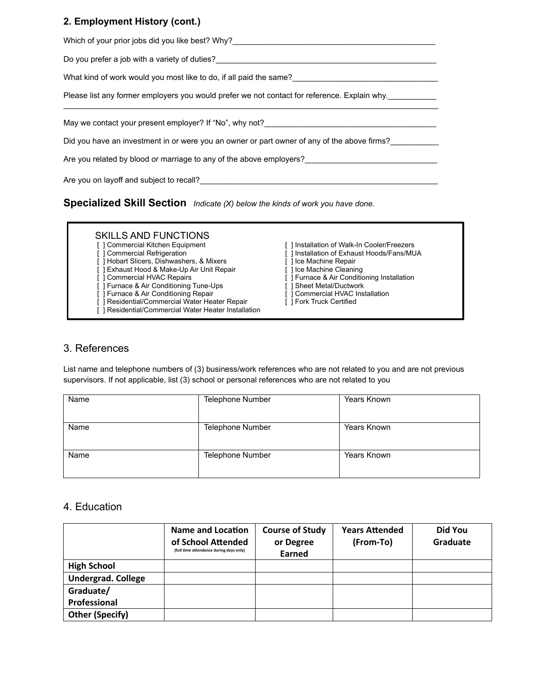#### **2. Employment History (cont.)**

| Which of your prior jobs did you like best? Why?________________________________             |
|----------------------------------------------------------------------------------------------|
| Do you prefer a job with a variety of duties?                                                |
| What kind of work would you most like to do, if all paid the same?                           |
| Please list any former employers you would prefer we not contact for reference. Explain why. |
|                                                                                              |
| May we contact your present employer? If "No", why not?_________________________             |
| Did you have an investment in or were you an owner or part owner of any of the above firms?  |
| Are you related by blood or marriage to any of the above employers?                          |

**Specialized Skill Section** *Indicate (X) below the kinds of work you have done.* 

# SKILLS AND FUNCTIONS<br>[] Commercial Kitchen Equipment

- 
- The Hobart Slicers, Dishwashers, & Mixers [ ] Ice Machine Repair [ ] Exhaust Hood & Make-Up Air Unit Repair [ ] Ice Machine Cleaning
- [ ] Exhaust Hood & Make-Up Air Unit Repair [ ] Commercial HVAC Repairs
- 
- [ ] Furnace & Air Conditioning Tune-Ups [ ] Sheet Metal/Ductwork<br>
[ ] Furnace & Air Conditioning Repair [ ] Commercial HVAC Installation
- [ ] Furnace & Air Conditioning Repair
- [ ] Residential/Commercial Water Heater Repair [ ] Fork Truck Certified
- [ ] Residential/Commercial Water Heater Installation
- [ ] Commercial Kitchen Equipment [ ] Installation of Walk-In Cooler/Freezers [ ] Commercial Refrigeration [ ] Installation of Exhaust Hoods/Fans/MU
	- [ ] Installation of Exhaust Hoods/Fans/MUA<br>[ ] Ice Machine Repair
	-
	-
	- [ ] Furnace & Air Conditioning Installation<br>[ ] Sheet Metal/Ductwork
	-
	-
	-

### 3. References

List name and telephone numbers of (3) business/work references who are not related to you and are not previous supervisors. If not applicable, list (3) school or personal references who are not related to you

| Name | Telephone Number | Years Known |
|------|------------------|-------------|
| Name | Telephone Number | Years Known |
| Name | Telephone Number | Years Known |

#### 4. Education

|                           | <b>Name and Location</b><br>of School Attended<br>(full time attendance during days only) | <b>Course of Study</b><br>or Degree<br>Earned | <b>Years Attended</b><br>(From-To) | Did You<br>Graduate |
|---------------------------|-------------------------------------------------------------------------------------------|-----------------------------------------------|------------------------------------|---------------------|
| <b>High School</b>        |                                                                                           |                                               |                                    |                     |
| <b>Undergrad. College</b> |                                                                                           |                                               |                                    |                     |
| Graduate/                 |                                                                                           |                                               |                                    |                     |
| Professional              |                                                                                           |                                               |                                    |                     |
| <b>Other (Specify)</b>    |                                                                                           |                                               |                                    |                     |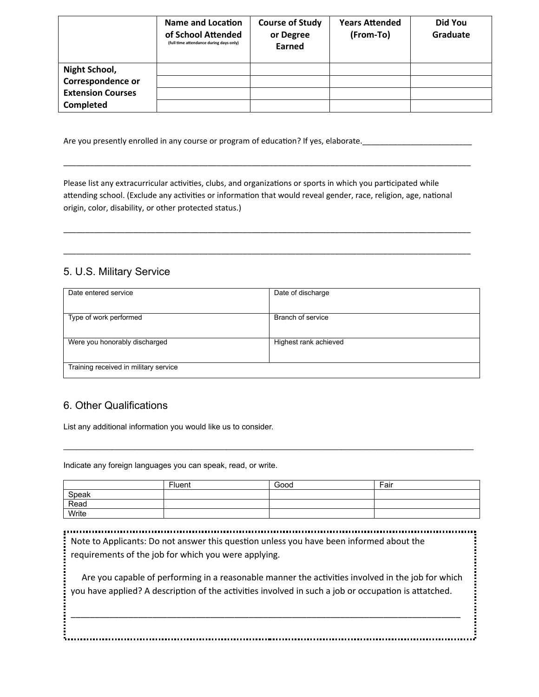|                          | <b>Name and Location</b><br>of School Attended<br>(full time attendance during days only) | <b>Course of Study</b><br>or Degree<br><b>Earned</b> | <b>Years Attended</b><br>(From-To) | Did You<br>Graduate |
|--------------------------|-------------------------------------------------------------------------------------------|------------------------------------------------------|------------------------------------|---------------------|
| Night School,            |                                                                                           |                                                      |                                    |                     |
| Correspondence or        |                                                                                           |                                                      |                                    |                     |
| <b>Extension Courses</b> |                                                                                           |                                                      |                                    |                     |
| <b>Completed</b>         |                                                                                           |                                                      |                                    |                     |

Are you presently enrolled in any course or program of education? If yes, elaborate.

Please list any extracurricular activities, clubs, and organizations or sports in which you participated while attending school. (Exclude any activities or information that would reveal gender, race, religion, age, national origin, color, disability, or other protected status.)

\_\_\_\_\_\_\_\_\_\_\_\_\_\_\_\_\_\_\_\_\_\_\_\_\_\_\_\_\_\_\_\_\_\_\_\_\_\_\_\_\_\_\_\_\_\_\_\_\_\_\_\_\_\_\_\_\_\_\_\_\_\_\_\_\_\_\_\_\_\_\_\_\_\_\_\_\_\_\_\_\_\_\_\_\_\_\_\_\_\_\_\_\_

\_\_\_\_\_\_\_\_\_\_\_\_\_\_\_\_\_\_\_\_\_\_\_\_\_\_\_\_\_\_\_\_\_\_\_\_\_\_\_\_\_\_\_\_\_\_\_\_\_\_\_\_\_\_\_\_\_\_\_\_\_\_\_\_\_\_\_\_\_\_\_\_\_\_\_\_\_\_\_\_\_\_\_\_\_\_\_\_\_\_\_\_\_

\_\_\_\_\_\_\_\_\_\_\_\_\_\_\_\_\_\_\_\_\_\_\_\_\_\_\_\_\_\_\_\_\_\_\_\_\_\_\_\_\_\_\_\_\_\_\_\_\_\_\_\_\_\_\_\_\_\_\_\_\_\_\_\_\_\_\_\_\_\_\_\_\_\_\_\_\_\_\_\_\_\_\_\_\_\_\_\_\_\_\_\_\_

# 5. U.S. Military Service

| Date entered service                  | Date of discharge     |
|---------------------------------------|-----------------------|
| Type of work performed                | Branch of service     |
| Were you honorably discharged         | Highest rank achieved |
| Training received in military service |                       |

# 6. Other Qualifications

List any additional information you would like us to consider.

Indicate any foreign languages you can speak, read, or write.

|       | Fluent | Good | Fair |
|-------|--------|------|------|
| Speak |        |      |      |
| Read  |        |      |      |
| Write |        |      |      |

 $\mathcal{L}_\mathcal{L} = \mathcal{L}_\mathcal{L} = \mathcal{L}_\mathcal{L} = \mathcal{L}_\mathcal{L} = \mathcal{L}_\mathcal{L} = \mathcal{L}_\mathcal{L} = \mathcal{L}_\mathcal{L} = \mathcal{L}_\mathcal{L} = \mathcal{L}_\mathcal{L} = \mathcal{L}_\mathcal{L} = \mathcal{L}_\mathcal{L} = \mathcal{L}_\mathcal{L} = \mathcal{L}_\mathcal{L} = \mathcal{L}_\mathcal{L} = \mathcal{L}_\mathcal{L} = \mathcal{L}_\mathcal{L} = \mathcal{L}_\mathcal{L}$ 

Note to Applicants: Do not answer this question unless you have been informed about the requirements of the job for which you were applying.

 Are you capable of performing in a reasonable manner the activities involved in the job for which you have applied? A description of the activities involved in such a job or occupation is attatched.

.............

\_\_\_\_\_\_\_\_\_\_\_\_\_\_\_\_\_\_\_\_\_\_\_\_\_\_\_\_\_\_\_\_\_\_\_\_\_\_\_\_\_\_\_\_\_\_\_\_\_\_\_\_\_\_\_\_\_\_\_\_\_\_\_\_\_\_\_\_\_\_\_\_\_\_\_\_\_\_\_\_\_

\_\_